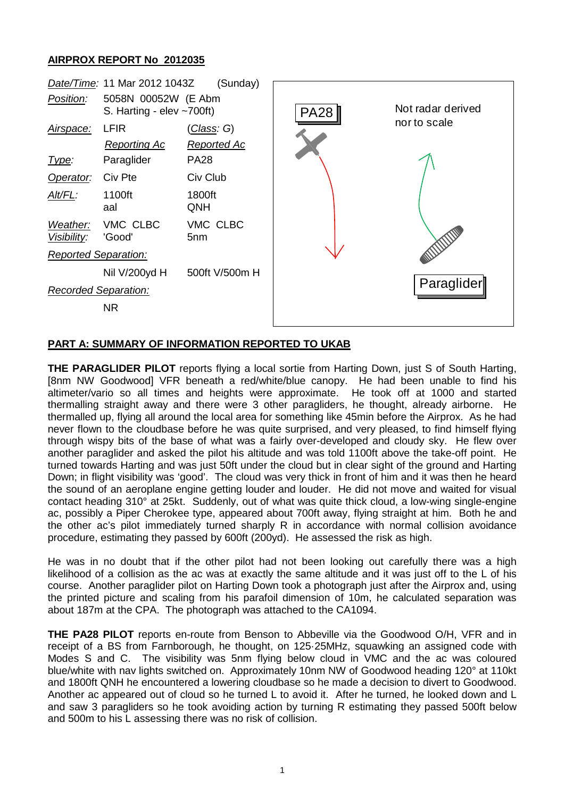## **AIRPROX REPORT No 2012035**



## **PART A: SUMMARY OF INFORMATION REPORTED TO UKAB**

**THE PARAGLIDER PILOT** reports flying a local sortie from Harting Down, just S of South Harting, [8nm NW Goodwood] VFR beneath a red/white/blue canopy. He had been unable to find his altimeter/vario so all times and heights were approximate. He took off at 1000 and started thermalling straight away and there were 3 other paragliders, he thought, already airborne. He thermalled up, flying all around the local area for something like 45min before the Airprox. As he had never flown to the cloudbase before he was quite surprised, and very pleased, to find himself flying through wispy bits of the base of what was a fairly over-developed and cloudy sky. He flew over another paraglider and asked the pilot his altitude and was told 1100ft above the take-off point. He turned towards Harting and was just 50ft under the cloud but in clear sight of the ground and Harting Down; in flight visibility was 'good'. The cloud was very thick in front of him and it was then he heard the sound of an aeroplane engine getting louder and louder. He did not move and waited for visual contact heading 310° at 25kt. Suddenly, out of what was quite thick cloud, a low-wing single-engine ac, possibly a Piper Cherokee type, appeared about 700ft away, flying straight at him. Both he and the other ac's pilot immediately turned sharply R in accordance with normal collision avoidance procedure, estimating they passed by 600ft (200yd). He assessed the risk as high.

He was in no doubt that if the other pilot had not been looking out carefully there was a high likelihood of a collision as the ac was at exactly the same altitude and it was just off to the L of his course. Another paraglider pilot on Harting Down took a photograph just after the Airprox and, using the printed picture and scaling from his parafoil dimension of 10m, he calculated separation was about 187m at the CPA. The photograph was attached to the CA1094.

**THE PA28 PILOT** reports en-route from Benson to Abbeville via the Goodwood O/H, VFR and in receipt of a BS from Farnborough, he thought, on 125·25MHz, squawking an assigned code with Modes S and C. The visibility was 5nm flying below cloud in VMC and the ac was coloured blue/white with nav lights switched on. Approximately 10nm NW of Goodwood heading 120° at 110kt and 1800ft QNH he encountered a lowering cloudbase so he made a decision to divert to Goodwood. Another ac appeared out of cloud so he turned L to avoid it. After he turned, he looked down and L and saw 3 paragliders so he took avoiding action by turning R estimating they passed 500ft below and 500m to his L assessing there was no risk of collision.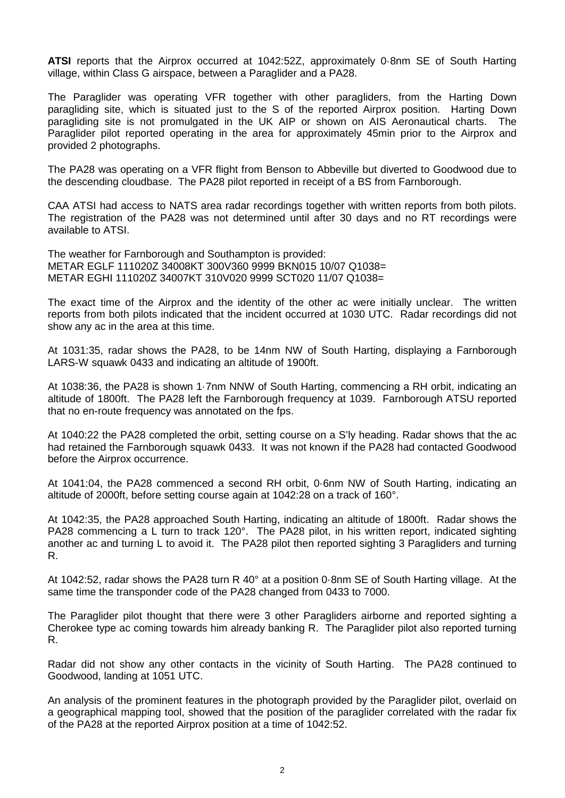**ATSI** reports that the Airprox occurred at 1042:52Z, approximately 0·8nm SE of South Harting village, within Class G airspace, between a Paraglider and a PA28.

The Paraglider was operating VFR together with other paragliders, from the Harting Down paragliding site, which is situated just to the S of the reported Airprox position. Harting Down paragliding site is not promulgated in the UK AIP or shown on AIS Aeronautical charts. The Paraglider pilot reported operating in the area for approximately 45min prior to the Airprox and provided 2 photographs.

The PA28 was operating on a VFR flight from Benson to Abbeville but diverted to Goodwood due to the descending cloudbase. The PA28 pilot reported in receipt of a BS from Farnborough.

CAA ATSI had access to NATS area radar recordings together with written reports from both pilots. The registration of the PA28 was not determined until after 30 days and no RT recordings were available to ATSI.

The weather for Farnborough and Southampton is provided: METAR EGLF 111020Z 34008KT 300V360 9999 BKN015 10/07 Q1038= METAR EGHI 111020Z 34007KT 310V020 9999 SCT020 11/07 Q1038=

The exact time of the Airprox and the identity of the other ac were initially unclear. The written reports from both pilots indicated that the incident occurred at 1030 UTC. Radar recordings did not show any ac in the area at this time.

At 1031:35, radar shows the PA28, to be 14nm NW of South Harting, displaying a Farnborough LARS-W squawk 0433 and indicating an altitude of 1900ft.

At 1038:36, the PA28 is shown 1·7nm NNW of South Harting, commencing a RH orbit, indicating an altitude of 1800ft. The PA28 left the Farnborough frequency at 1039. Farnborough ATSU reported that no en-route frequency was annotated on the fps.

At 1040:22 the PA28 completed the orbit, setting course on a S'ly heading. Radar shows that the ac had retained the Farnborough squawk 0433. It was not known if the PA28 had contacted Goodwood before the Airprox occurrence.

At 1041:04, the PA28 commenced a second RH orbit, 0·6nm NW of South Harting, indicating an altitude of 2000ft, before setting course again at 1042:28 on a track of 160°.

At 1042:35, the PA28 approached South Harting, indicating an altitude of 1800ft. Radar shows the PA28 commencing a L turn to track 120°. The PA28 pilot, in his written report, indicated sighting another ac and turning L to avoid it. The PA28 pilot then reported sighting 3 Paragliders and turning R.

At 1042:52, radar shows the PA28 turn R 40° at a position 0·8nm SE of South Harting village. At the same time the transponder code of the PA28 changed from 0433 to 7000.

The Paraglider pilot thought that there were 3 other Paragliders airborne and reported sighting a Cherokee type ac coming towards him already banking R. The Paraglider pilot also reported turning R.

Radar did not show any other contacts in the vicinity of South Harting. The PA28 continued to Goodwood, landing at 1051 UTC.

An analysis of the prominent features in the photograph provided by the Paraglider pilot, overlaid on a geographical mapping tool, showed that the position of the paraglider correlated with the radar fix of the PA28 at the reported Airprox position at a time of 1042:52.